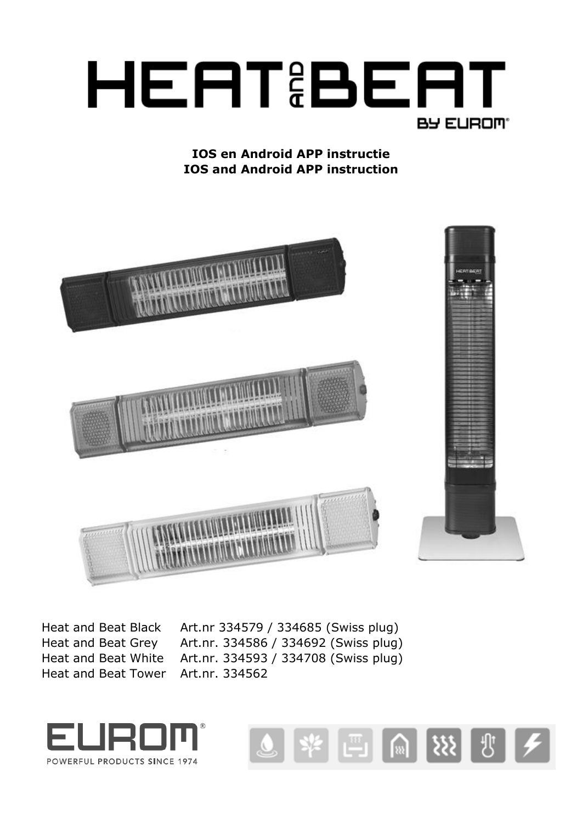

# **IOS en Android APP instructie IOS and Android APP instruction**



Heat and Beat Tower Art.nr. 334562

Heat and Beat Black Art.nr 334579 / 334685 (Swiss plug) Heat and Beat Grey Art.nr. 334586 / 334692 (Swiss plug) Heat and Beat White Art.nr. 334593 / 334708 (Swiss plug)



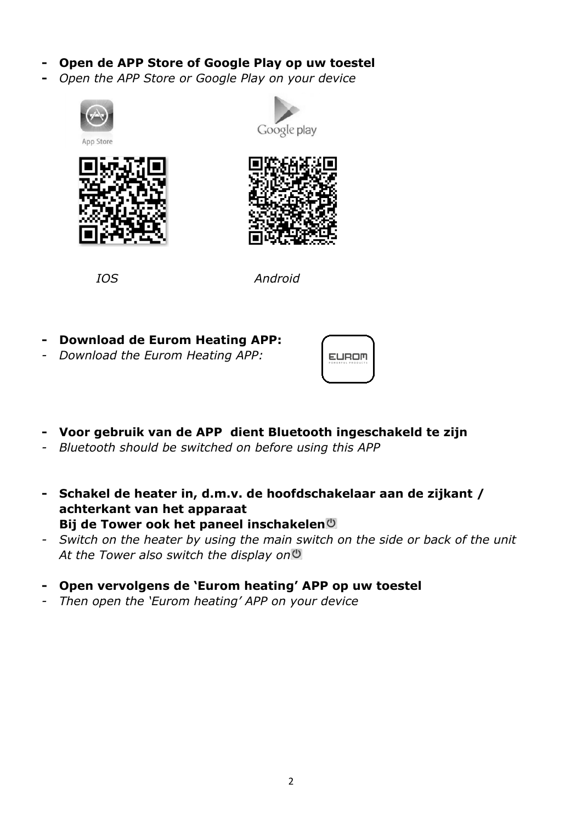- **- Open de APP Store of Google Play op uw toestel**
- **-** *Open the APP Store or Google Play on your device*









 *IOS Android* 

- **- Download de Eurom Heating APP:**
- *- Download the Eurom Heating APP:*

| $0 \le T5$<br>$-125$<br>P 0 |  |
|-----------------------------|--|
|                             |  |

- **- Voor gebruik van de APP dient Bluetooth ingeschakeld te zijn**
- *- Bluetooth should be switched on before using this APP*
- **- Schakel de heater in, d.m.v. de hoofdschakelaar aan de zijkant / achterkant van het apparaat Bij de Tower ook het paneel inschakelen**
- *- Switch on the heater by using the main switch on the side or back of the unit At the Tower also switch the display on*
- **- Open vervolgens de 'Eurom heating' APP op uw toestel**
- *- Then open the 'Eurom heating' APP on your device*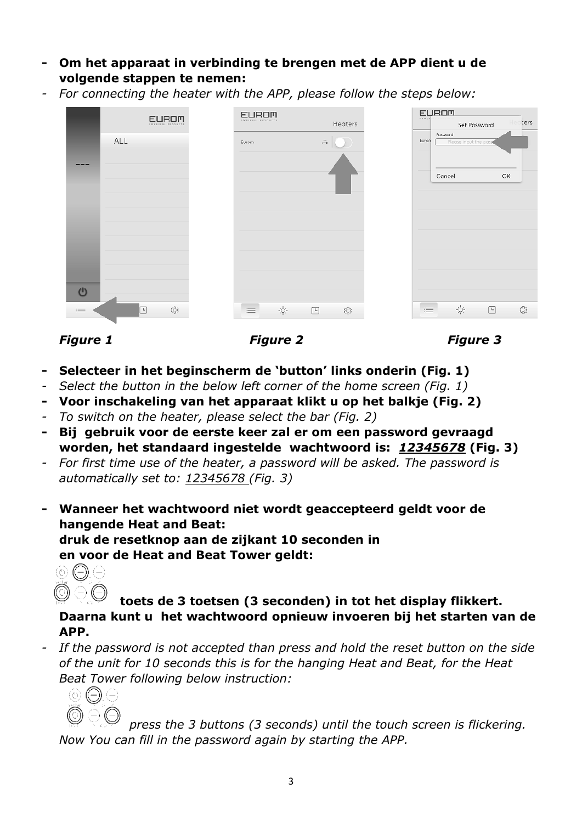- **- Om het apparaat in verbinding te brengen met de APP dient u de volgende stappen te nemen:**
- *- For connecting the heater with the APP, please follow the steps below:*

|                        | <b>EUROM</b><br>FOWERFUL PRODUCTS | <b>EUROM</b><br>FOWERFUL PRODUCTS |                                                                                                              |                                    | Heaters | <b>EUROM</b><br>rower | Set Password                      |        | ters |
|------------------------|-----------------------------------|-----------------------------------|--------------------------------------------------------------------------------------------------------------|------------------------------------|---------|-----------------------|-----------------------------------|--------|------|
|                        | ALL                               | Eurom                             |                                                                                                              | $\overset{\circ}{\hookrightarrow}$ |         | Euron                 | Password<br>Please input the pass |        |      |
|                        |                                   |                                   |                                                                                                              |                                    |         |                       | Cancel                            | OK     |      |
| $\mathbf{\Theta}$<br>津 | ۞<br>⊡                            | $\equiv$                          | $-\bigcirc_{i}^{\mathbb{L}}\hspace{-0.1cm}\bigcirc_{\mathbb{L}}^{\mathbb{L}}\hspace{-0.1cm}=\hspace{-0.1cm}$ | $\Box$                             | ♦       | 三                     | ÷ģ-                               | $\Box$ | ◎    |



- **- Selecteer in het beginscherm de 'button' links onderin (Fig. 1)**
- *- Select the button in the below left corner of the home screen (Fig. 1)*
- **- Voor inschakeling van het apparaat klikt u op het balkje (Fig. 2)**
- *- To switch on the heater, please select the bar (Fig. 2)*
- **- Bij gebruik voor de eerste keer zal er om een password gevraagd worden, het standaard ingestelde wachtwoord is:** *12345678* **(Fig. 3)**
- *- For first time use of the heater, a password will be asked. The password is automatically set to: 12345678 (Fig. 3)*
- **- Wanneer het wachtwoord niet wordt geaccepteerd geldt voor de hangende Heat and Beat:**

**druk de resetknop aan de zijkant 10 seconden in en voor de Heat and Beat Tower geldt:**



**toets de 3 toetsen (3 seconden) in tot het display flikkert. Daarna kunt u het wachtwoord opnieuw invoeren bij het starten van de APP.**

*- If the password is not accepted than press and hold the reset button on the side of the unit for 10 seconds this is for the hanging Heat and Beat, for the Heat Beat Tower following below instruction:*



*press the 3 buttons (3 seconds) until the touch screen is flickering. Now You can fill in the password again by starting the APP.*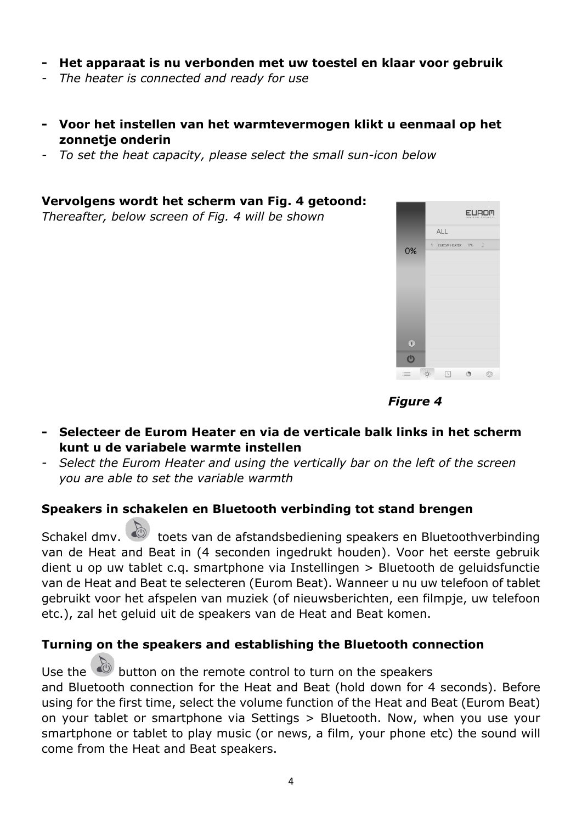- **- Het apparaat is nu verbonden met uw toestel en klaar voor gebruik**
- *- The heater is connected and ready for use*
- **- Voor het instellen van het warmtevermogen klikt u eenmaal op het zonnetje onderin**
- *- To set the heat capacity, please select the small sun-icon below*

#### **Vervolgens wordt het scherm van Fig. 4 getoond:**

*Thereafter, below screen of Fig. 4 will be shown*





- **- Selecteer de Eurom Heater en via de verticale balk links in het scherm kunt u de variabele warmte instellen**
- *- Select the Eurom Heater and using the vertically bar on the left of the screen you are able to set the variable warmth*

## **Speakers in schakelen en Bluetooth verbinding tot stand brengen**

Schakel dmv.  $\bigcirc$  toets van de afstandsbediening speakers en Bluetoothverbinding van de Heat and Beat in (4 seconden ingedrukt houden). Voor het eerste gebruik dient u op uw tablet c.q. smartphone via Instellingen > Bluetooth de geluidsfunctie van de Heat and Beat te selecteren (Eurom Beat). Wanneer u nu uw telefoon of tablet gebruikt voor het afspelen van muziek (of nieuwsberichten, een filmpje, uw telefoon etc.), zal het geluid uit de speakers van de Heat and Beat komen.

### **Turning on the speakers and establishing the Bluetooth connection**

Use the  $\bigcirc$  button on the remote control to turn on the speakers and Bluetooth connection for the Heat and Beat (hold down for 4 seconds). Before using for the first time, select the volume function of the Heat and Beat (Eurom Beat) on your tablet or smartphone via Settings > Bluetooth. Now, when you use your smartphone or tablet to play music (or news, a film, your phone etc) the sound will come from the Heat and Beat speakers.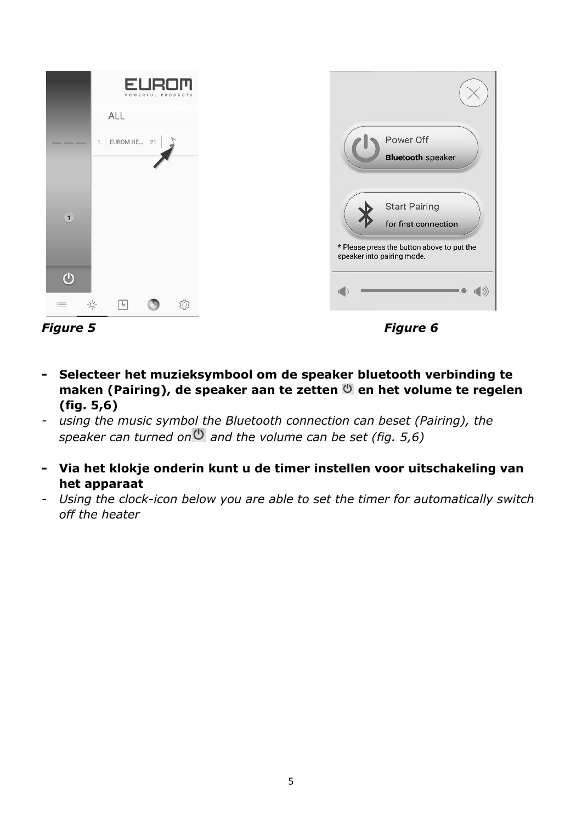

- **- Selecteer het muzieksymbool om de speaker bluetooth verbinding te maken (Pairing), de speaker aan te zetten**  $\bullet$  **en het volume te regelen (fig. 5,6)**
- *- using the music symbol the Bluetooth connection can beset (Pairing), the speaker can turned on and the volume can be set (fig. 5,6)*
- **- Via het klokje onderin kunt u de timer instellen voor uitschakeling van het apparaat**
- *- Using the clock-icon below you are able to set the timer for automatically switch off the heater*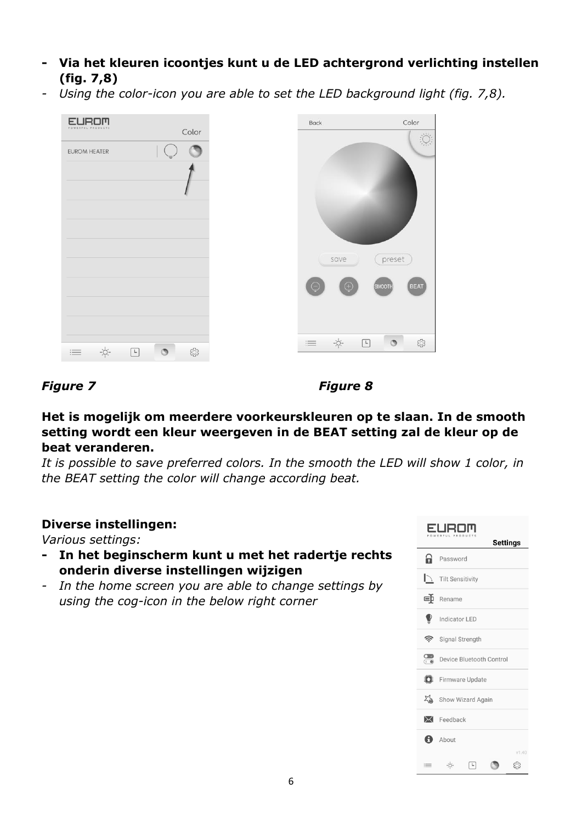- **- Via het kleuren icoontjes kunt u de LED achtergrond verlichting instellen (fig. 7,8)**
- *- Using the color-icon you are able to set the LED background light (fig. 7,8).*

| <b>EUROM</b><br>PRODUCTS<br>POW                                                                                                           | Back                   | Color                                                                                                           |
|-------------------------------------------------------------------------------------------------------------------------------------------|------------------------|-----------------------------------------------------------------------------------------------------------------|
| Color<br><b>EUROM HEATER</b>                                                                                                              |                        |                                                                                                                 |
|                                                                                                                                           |                        |                                                                                                                 |
|                                                                                                                                           |                        |                                                                                                                 |
|                                                                                                                                           |                        |                                                                                                                 |
|                                                                                                                                           |                        |                                                                                                                 |
|                                                                                                                                           |                        |                                                                                                                 |
|                                                                                                                                           | save                   | preset                                                                                                          |
|                                                                                                                                           | $\odot$<br>$\bigoplus$ | SMOOTH<br><b>BEAT</b>                                                                                           |
|                                                                                                                                           |                        |                                                                                                                 |
|                                                                                                                                           |                        |                                                                                                                 |
|                                                                                                                                           | $-\phi$ -<br>I         | $\circ$<br>♦<br>$\begin{tabular}{ c c } \hline \quad \quad & \quad \quad & \quad \quad \\ \hline \end{tabular}$ |
| $-\frac{1}{2}O(-$<br>۞<br>$\begin{tabular}{ c c } \hline \quad \quad & \quad \quad & \quad \quad \\ \hline \end{tabular}$<br>$\circ$<br>三 |                        |                                                                                                                 |

## *Figure 7 Figure 8*

**Het is mogelijk om meerdere voorkeurskleuren op te slaan. In de smooth setting wordt een kleur weergeven in de BEAT setting zal de kleur op de beat veranderen.**

*It is possible to save preferred colors. In the smooth the LED will show 1 color, in the BEAT setting the color will change according beat.*

## **Diverse instellingen:**

*Various settings:*

- **- In het beginscherm kunt u met het radertje rechts onderin diverse instellingen wijzigen**
- *- In the home screen you are able to change settings by using the cog-icon in the below right corner*

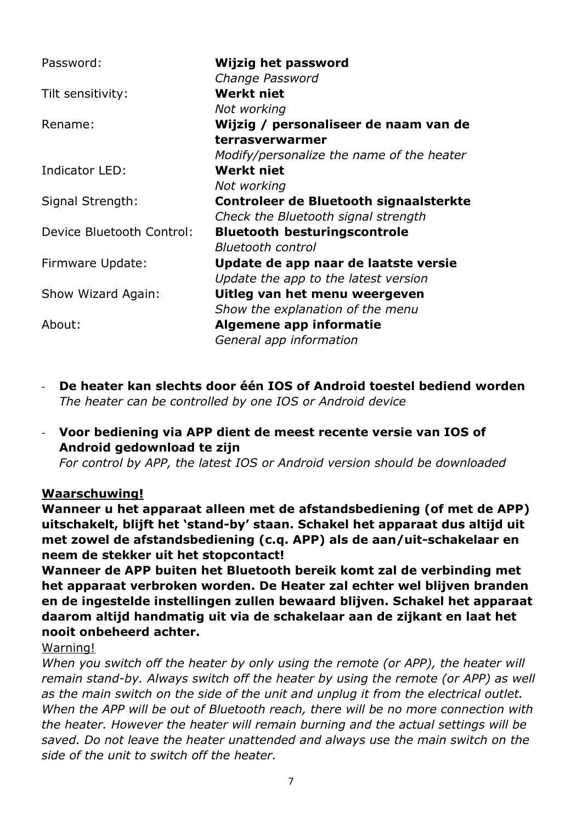| Password:                 | Wijzig het password                                                           |
|---------------------------|-------------------------------------------------------------------------------|
| Tilt sensitivity:         | Change Password<br><b>Werkt niet</b>                                          |
| Rename:                   | Not working<br>Wijzig / personaliseer de naam van de                          |
|                           | terrasverwarmer<br>Modify/personalize the name of the heater                  |
| Indicator LED:            | <b>Werkt niet</b><br>Not working                                              |
| Signal Strength:          | Controleer de Bluetooth signaalsterkte<br>Check the Bluetooth signal strength |
| Device Bluetooth Control: | <b>Bluetooth besturingscontrole</b><br><b>Bluetooth control</b>               |
| Firmware Update:          | Update de app naar de laatste versie<br>Update the app to the latest version  |
| Show Wizard Again:        | Uitleg van het menu weergeven<br>Show the explanation of the menu             |
| About:                    | Algemene app informatie<br>General app information                            |

- **De heater kan slechts door één IOS of Android toestel bediend worden** *The heater can be controlled by one IOS or Android device*
- **Voor bediening via APP dient de meest recente versie van IOS of Android gedownload te zijn**

*For control by APP, the latest IOS or Android version should be downloaded*

## **Waarschuwing!**

**Wanneer u het apparaat alleen met de afstandsbediening (of met de APP) uitschakelt, blijft het 'stand-by' staan. Schakel het apparaat dus altijd uit met zowel de afstandsbediening (c.q. APP) als de aan/uit-schakelaar en neem de stekker uit het stopcontact!**

**Wanneer de APP buiten het Bluetooth bereik komt zal de verbinding met het apparaat verbroken worden. De Heater zal echter wel blijven branden en de ingestelde instellingen zullen bewaard blijven. Schakel het apparaat daarom altijd handmatig uit via de schakelaar aan de zijkant en laat het nooit onbeheerd achter.**

### Warning!

*When you switch off the heater by only using the remote (or APP), the heater will remain stand-by. Always switch off the heater by using the remote (or APP) as well as the main switch on the side of the unit and unplug it from the electrical outlet. When the APP will be out of Bluetooth reach, there will be no more connection with the heater. However the heater will remain burning and the actual settings will be saved. Do not leave the heater unattended and always use the main switch on the side of the unit to switch off the heater.*